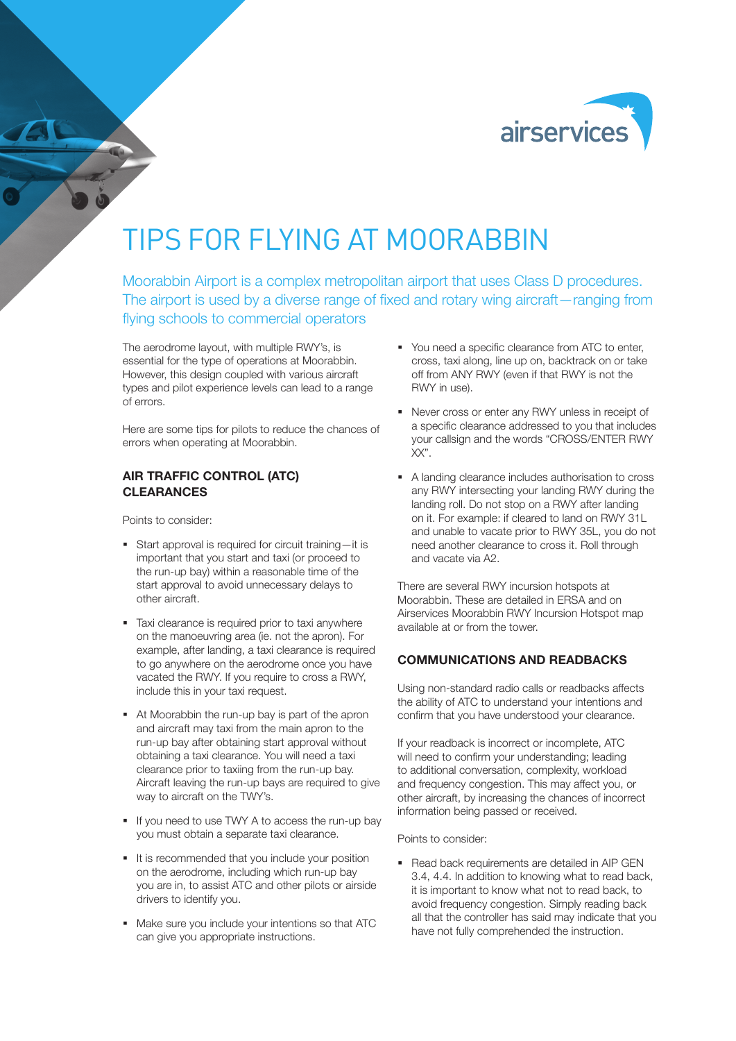

# TIPS FOR FLYING AT MOORABBIN

Moorabbin Airport is a complex metropolitan airport that uses Class D procedures. The airport is used by a diverse range of fixed and rotary wing aircraft—ranging from flying schools to commercial operators

The aerodrome layout, with multiple RWY's, is essential for the type of operations at Moorabbin. However, this design coupled with various aircraft types and pilot experience levels can lead to a range of errors.

Here are some tips for pilots to reduce the chances of errors when operating at Moorabbin.

# AIR TRAFFIC CONTROL (ATC) CLEARANCES

Points to consider:

- Start approval is required for circuit training—it is important that you start and taxi (or proceed to the run-up bay) within a reasonable time of the start approval to avoid unnecessary delays to other aircraft.
- **Taxi clearance is required prior to taxi anywhere** on the manoeuvring area (ie. not the apron). For example, after landing, a taxi clearance is required to go anywhere on the aerodrome once you have vacated the RWY. If you require to cross a RWY, include this in your taxi request.
- At Moorabbin the run-up bay is part of the apron and aircraft may taxi from the main apron to the run-up bay after obtaining start approval without obtaining a taxi clearance. You will need a taxi clearance prior to taxiing from the run-up bay. Aircraft leaving the run-up bays are required to give way to aircraft on the TWY's.
- If you need to use TWY A to access the run-up bay you must obtain a separate taxi clearance.
- It is recommended that you include your position on the aerodrome, including which run-up bay you are in, to assist ATC and other pilots or airside drivers to identify you.
- Make sure you include your intentions so that ATC can give you appropriate instructions.
- You need a specific clearance from ATC to enter, cross, taxi along, line up on, backtrack on or take off from ANY RWY (even if that RWY is not the RWY in use).
- Never cross or enter any RWY unless in receipt of a specific clearance addressed to you that includes your callsign and the words "CROSS/ENTER RWY XX".
- A landing clearance includes authorisation to cross any RWY intersecting your landing RWY during the landing roll. Do not stop on a RWY after landing on it. For example: if cleared to land on RWY 31L and unable to vacate prior to RWY 35L, you do not need another clearance to cross it. Roll through and vacate via A2.

There are several RWY incursion hotspots at Moorabbin. These are detailed in ERSA and on Airservices Moorabbin RWY Incursion Hotspot map available at or from the tower.

### COMMUNICATIONS AND READBACKS

Using non-standard radio calls or readbacks affects the ability of ATC to understand your intentions and confirm that you have understood your clearance.

If your readback is incorrect or incomplete, ATC will need to confirm your understanding; leading to additional conversation, complexity, workload and frequency congestion. This may affect you, or other aircraft, by increasing the chances of incorrect information being passed or received.

Points to consider:

• Read back requirements are detailed in AIP GEN 3.4, 4.4. In addition to knowing what to read back, it is important to know what not to read back, to avoid frequency congestion. Simply reading back all that the controller has said may indicate that you have not fully comprehended the instruction.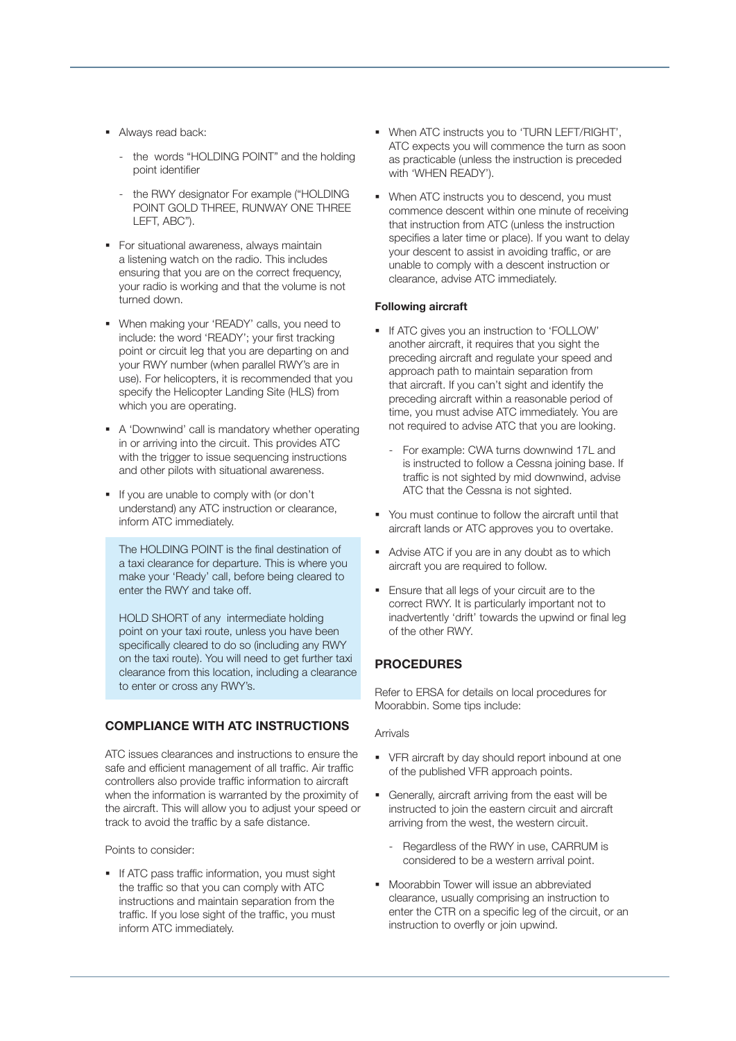- Always read back:
	- the words "HOLDING POINT" and the holding point identifier
	- the RWY designator For example ("HOLDING POINT GOLD THREE, RUNWAY ONE THREE LEFT, ABC").
- **For situational awareness, always maintain** a listening watch on the radio. This includes ensuring that you are on the correct frequency, your radio is working and that the volume is not turned down.
- **•** When making your 'READY' calls, you need to include: the word 'READY'; your first tracking point or circuit leg that you are departing on and your RWY number (when parallel RWY's are in use). For helicopters, it is recommended that you specify the Helicopter Landing Site (HLS) from which you are operating.
- A 'Downwind' call is mandatory whether operating in or arriving into the circuit. This provides ATC with the trigger to issue sequencing instructions and other pilots with situational awareness.
- If you are unable to comply with (or don't understand) any ATC instruction or clearance, inform ATC immediately.

The HOLDING POINT is the final destination of a taxi clearance for departure. This is where you make your 'Ready' call, before being cleared to enter the RWY and take off.

HOLD SHORT of any intermediate holding point on your taxi route, unless you have been specifically cleared to do so (including any RWY on the taxi route). You will need to get further taxi clearance from this location, including a clearance to enter or cross any RWY's.

# COMPLIANCE WITH ATC INSTRUCTIONS

ATC issues clearances and instructions to ensure the safe and efficient management of all traffic. Air traffic controllers also provide traffic information to aircraft when the information is warranted by the proximity of the aircraft. This will allow you to adjust your speed or track to avoid the traffic by a safe distance.

Points to consider:

**If ATC pass traffic information, you must sight** the traffic so that you can comply with ATC instructions and maintain separation from the traffic. If you lose sight of the traffic, you must inform ATC immediately.

- When ATC instructs you to 'TURN LEFT/RIGHT', ATC expects you will commence the turn as soon as practicable (unless the instruction is preceded with 'WHEN READY').
- When ATC instructs you to descend, you must commence descent within one minute of receiving that instruction from ATC (unless the instruction specifies a later time or place). If you want to delay your descent to assist in avoiding traffic, or are unable to comply with a descent instruction or clearance, advise ATC immediately.

#### **Following aircraft**

- If ATC gives you an instruction to 'FOLLOW' another aircraft, it requires that you sight the preceding aircraft and regulate your speed and approach path to maintain separation from that aircraft. If you can't sight and identify the preceding aircraft within a reasonable period of time, you must advise ATC immediately. You are not required to advise ATC that you are looking.
	- For example: CWA turns downwind 17L and is instructed to follow a Cessna joining base. If traffic is not sighted by mid downwind, advise ATC that the Cessna is not sighted.
- You must continue to follow the aircraft until that aircraft lands or ATC approves you to overtake.
- Advise ATC if you are in any doubt as to which aircraft you are required to follow.
- **Ensure that all legs of your circuit are to the** correct RWY. It is particularly important not to inadvertently 'drift' towards the upwind or final leg of the other RWY.

# **PROCEDURES**

Refer to ERSA for details on local procedures for Moorabbin. Some tips include:

#### Arrivals

- VFR aircraft by day should report inbound at one of the published VFR approach points.
- Generally, aircraft arriving from the east will be instructed to join the eastern circuit and aircraft arriving from the west, the western circuit.
	- Regardless of the RWY in use, CARRUM is considered to be a western arrival point.
- **Moorabbin Tower will issue an abbreviated** clearance, usually comprising an instruction to enter the CTR on a specific leg of the circuit, or an instruction to overfly or join upwind.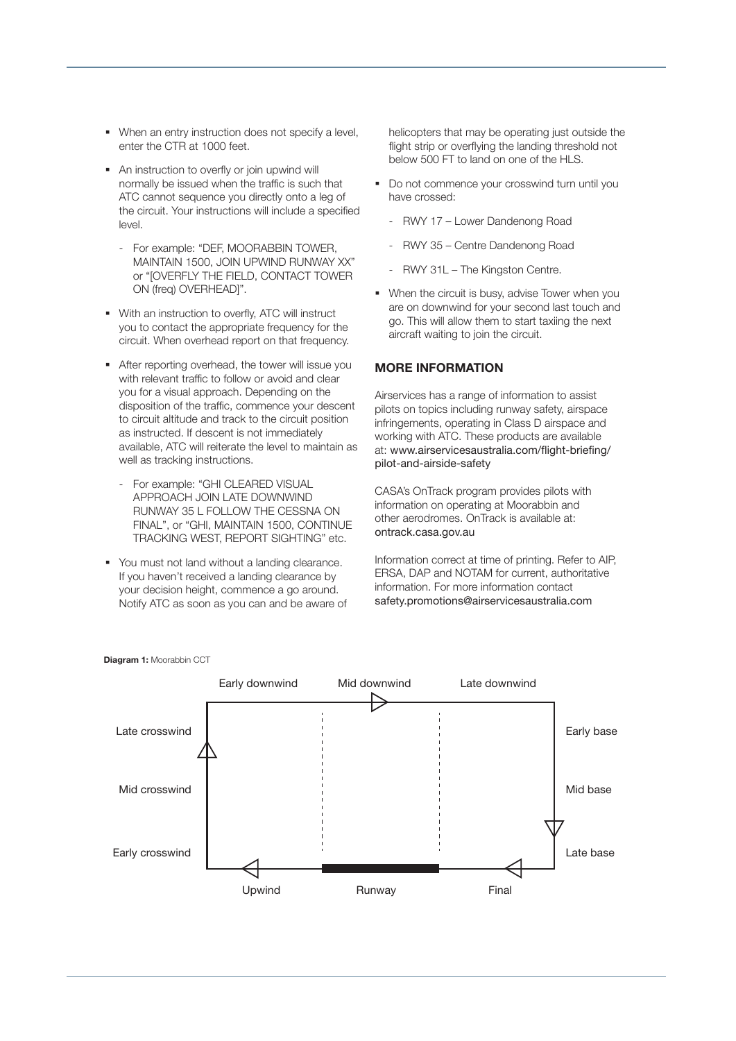- When an entry instruction does not specify a level. enter the CTR at 1000 feet.
- An instruction to overfly or join upwind will normally be issued when the traffic is such that ATC cannot sequence you directly onto a leg of the circuit. Your instructions will include a specified level.
	- For example: "DEF, MOORABBIN TOWER, MAINTAIN 1500, JOIN UPWIND RUNWAY XX" or "[OVERFLY THE FIELD, CONTACT TOWER ON (freq) OVERHEAD]".
- With an instruction to overfly, ATC will instruct you to contact the appropriate frequency for the circuit. When overhead report on that frequency.
- After reporting overhead, the tower will issue you with relevant traffic to follow or avoid and clear you for a visual approach. Depending on the disposition of the traffic, commence your descent to circuit altitude and track to the circuit position as instructed. If descent is not immediately available, ATC will reiterate the level to maintain as well as tracking instructions.
	- For example: "GHI CLEARED VISUAL APPROACH JOIN LATE DOWNWIND RUNWAY 35 L FOLLOW THE CESSNA ON FINAL", or "GHI, MAINTAIN 1500, CONTINUE TRACKING WEST, REPORT SIGHTING" etc.
- You must not land without a landing clearance. If you haven't received a landing clearance by your decision height, commence a go around. Notify ATC as soon as you can and be aware of

helicopters that may be operating just outside the flight strip or overflying the landing threshold not below 500 FT to land on one of the HLS.

- Do not commence your crosswind turn until you have crossed:
	- RWY 17 Lower Dandenong Road
	- RWY 35 Centre Dandenong Road
	- RWY 31L The Kingston Centre.
- When the circuit is busy, advise Tower when you are on downwind for your second last touch and go. This will allow them to start taxiing the next aircraft waiting to join the circuit.

#### MORE INFORMATION

Airservices has a range of information to assist pilots on topics including runway safety, airspace infringements, operating in Class D airspace and working with ATC. These products are available at: www.airservicesaustralia.com/flight-briefing/ pilot-and-airside-safety

CASA's OnTrack program provides pilots with information on operating at Moorabbin and other aerodromes. OnTrack is available at: ontrack.casa.gov.au

Information correct at time of printing. Refer to AIP, ERSA, DAP and NOTAM for current, authoritative information. For more information contact safety.promotions@airservicesaustralia.com